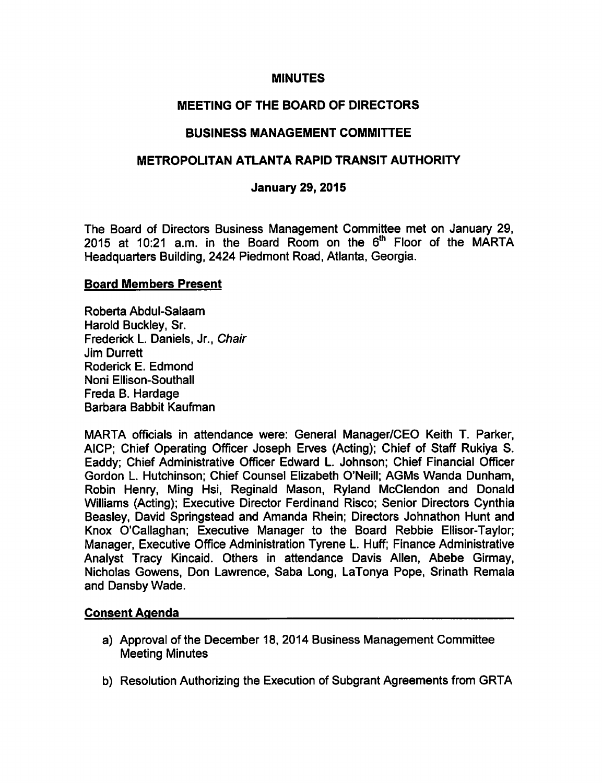#### MINUTES

# MEETING OF THE BOARD OF DIRECTORS

## BUSINESS MANAGEMENT COMMITTEE

## METROPOLITAN ATLANTA RAPID TRANSIT AUTHORITY

#### January 29, 2015

The Board of Directors Business Management Committee met on January 29, 2015 at 10:21 a.m. in the Board Room on the  $6<sup>th</sup>$  Floor of the MARTA Headquarters Building, 2424 Piedmont Road, Atlanta, Georgia.

#### Board Members Present

Roberta Abdul-Salaam Harold Buckley, Sr. Frederick L. Daniels, Jr., Chair Jim Durrett Roderick E. Edmond Noni Ellison-Southall Freda B. Hardage Barbara Babbit Kaufman

MARTA officials in attendance were: General Manager/CEO Keith T. Parker, AICP; Chief Operating Officer Joseph Erves (Acting); Chief of Staff Rukiya S. Eaddy; Chief Administrative Officer Edward L. Johnson; Chief Financial Officer Gordon L. Hutchinson; Chief Counsel Elizabeth O'Neill; AGMs Wanda Dunham, Robin Henry, Ming Hsi, Reginald Mason, Ryland McClendon and Donald Williams (Acting); Executive Director Ferdinand Risco; Senior Directors Cynthia Beasley, David Springstead and Amanda Rhein; Directors Johnathon Hunt and Knox O'Callaghan; Executive Manager to the Board Rebbie Ellisor-Taylor; Manager, Executive Office Administration Tyrene L. Huff; Finance Administrative Analyst Tracy Kincaid. Others in attendance Davis Allen, Abebe Girmay, Nicholas Gowens, Don Lawrence, Saba Long, LaTonya Pope, Srinath Remala and Dansby Wade.

## Consent Agenda

- a) Approval of the December 18, 2014 Business Management Committee Meeting Minutes
- b) Resolution Authorizing the Execution of Subgrant Agreements from GRTA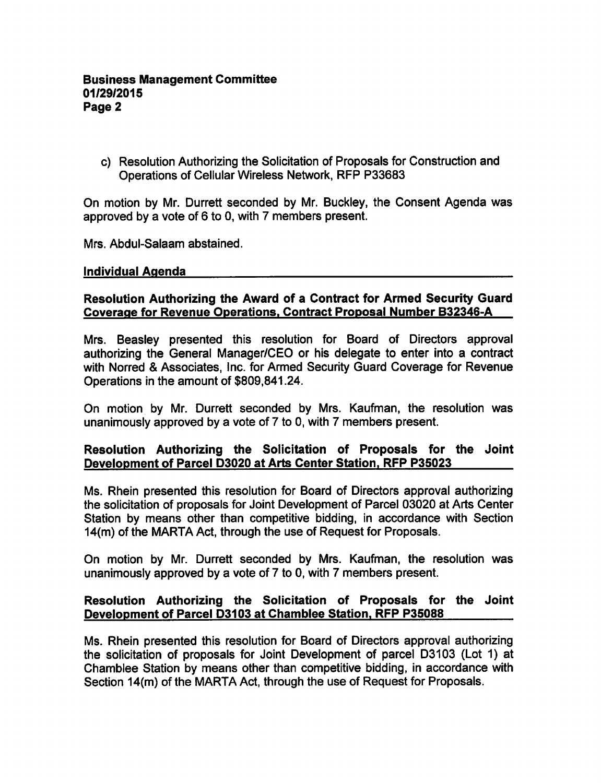c) Resolution Authorizing the Solicitation of Proposals for Construction and Operations of Cellular Wireless Network, RFP P33683

On motion by Mr. Durrett seconded by Mr. Buckley, the Consent Agenda was approved by a vote of 6 to 0, with 7 members present.

Mrs. Abdul-Salaam abstained.

#### Individual Agenda

## Resolution Authorizing the Award of a Contract for Armed Security Guard Coverage for Revenue Operations. Contract Proposal Number B32346-A

Mrs. Beasley presented this resolution for Board of Directors approval authorizing the General Manager/CEO or his delegate to enter into a contract with Norred & Associates, Inc. for Armed Security Guard Coverage for Revenue Operations in the amount of \$809,841.24.

On motion by Mr. Durrett seconded by Mrs. Kaufman, the resolution was unanimously approved by a vote of  $7$  to 0, with  $7$  members present.

## Resolution Authorizing the Solicitation of Proposals for the Joint Development of Parcel D3020 at Arts Center Station. RFP P35023

Ms. Rhein presented this resolution for Board of Directors approval authorizing the solicitation of proposals for Joint Development of Parcel 03020 at Arts Center Station by means other than competitive bidding, in accordance with Section 14(m) of the MARTA Act, through the use of Request for Proposals.

On motion by Mr. Durrett seconded by Mrs. Kaufman, the resolution was unanimously approved by a vote of  $7$  to  $0$ , with  $7$  members present.

## Resolution Authorizing the Solicitation of Proposals for the Joint Development of Parcel D3103 at Chamblee Station. RFP P35088

Ms. Rhein presented this resolution for Board of Directors approval authorizing the solicitation of proposals for Joint Development of parcel D3103 (Lot 1) at Chamblee Station by means other than competitive bidding, in accordance with Section 14(m) of the MARTA Act, through the use of Request for Proposals.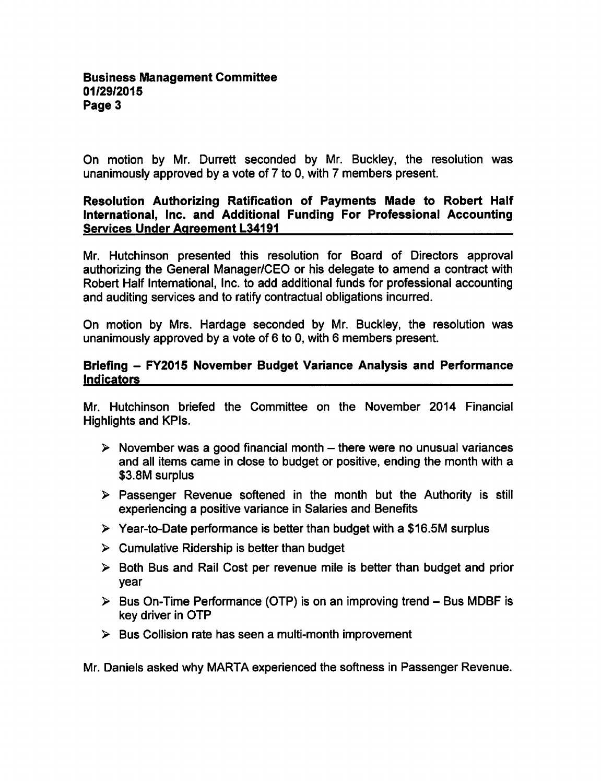On motion by Mr. Durrett seconded by Mr. Buckley, the resolution was unanimously approved by a vote of 7 to 0, with 7 members present.

### Resolution Authorizing Ratification of Payments Made to Robert Half International, Inc. and Additional Funding For Professional Accounting Services Under Agreement L34191

Mr. Hutchinson presented this resolution for Board of Directors approval authorizing the General Manager/CEO or his delegate to amend a contract with Robert Half International, Inc. to add additional funds for professional accounting and auditing services and to ratify contractual obligations incurred.

On motion by Mrs. Hardage seconded by Mr. Buckley, the resolution was unanimously approved by a vote of  $6$  to 0, with 6 members present.

## Briefing - FY2015 November Budget Variance Analysis and Performance Indicators

Mr. Hutchinson briefed the Committee on the November 2014 Financial Highlights and KPIs.

- $\triangleright$  November was a good financial month there were no unusual variances and all items came in close to budget or positive, ending the month with a \$3.8M surplus
- $\triangleright$  Passenger Revenue softened in the month but the Authority is still experiencing a positive variance in Salaries and Benefits
- $\triangleright$  Year-to-Date performance is better than budget with a \$16.5M surplus
- $\triangleright$  Cumulative Ridership is better than budget
- $\triangleright$  Both Bus and Rail Cost per revenue mile is better than budget and prior year
- $\triangleright$  Bus On-Time Performance (OTP) is on an improving trend Bus MDBF is key driver in OTP
- $\triangleright$  Bus Collision rate has seen a multi-month improvement

Mr. Daniels asked why MARTA experienced the softness in Passenger Revenue.